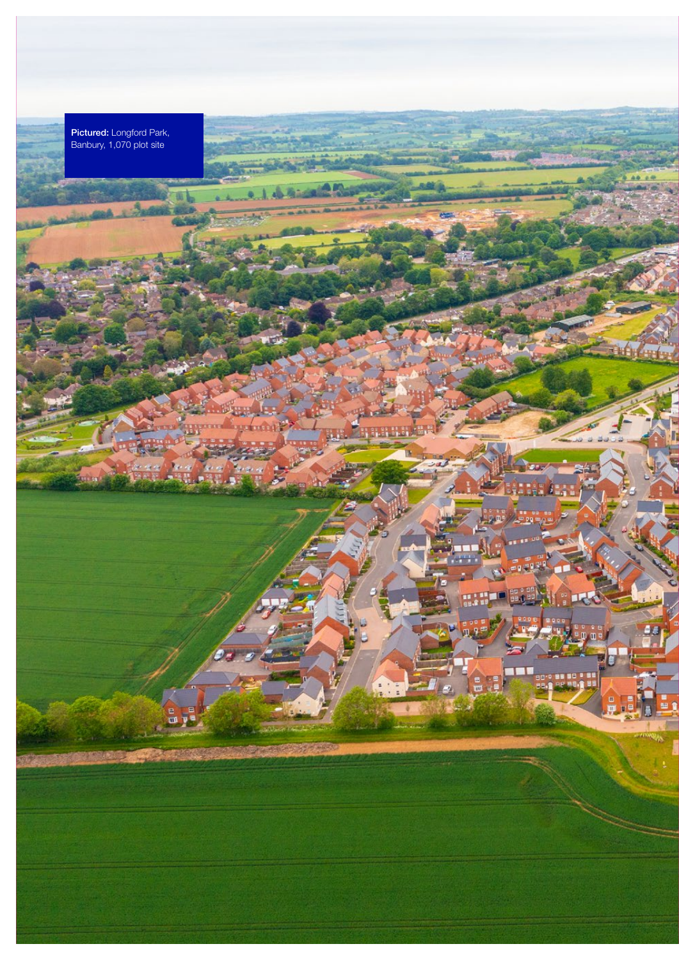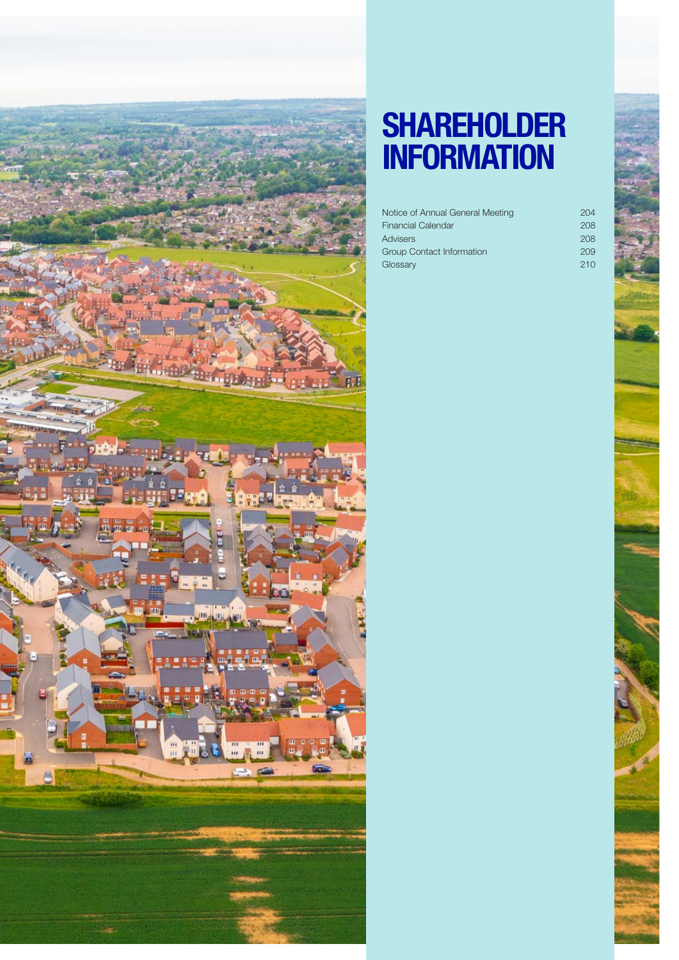

# SHAREHOLDER **INFORMATION**

| Notice of Annual General Meeting | 204 |
|----------------------------------|-----|
| <b>Financial Calendar</b>        | 208 |
| Advisers                         | 208 |
| <b>Group Contact Information</b> | 209 |
| Glossary                         | 210 |
|                                  |     |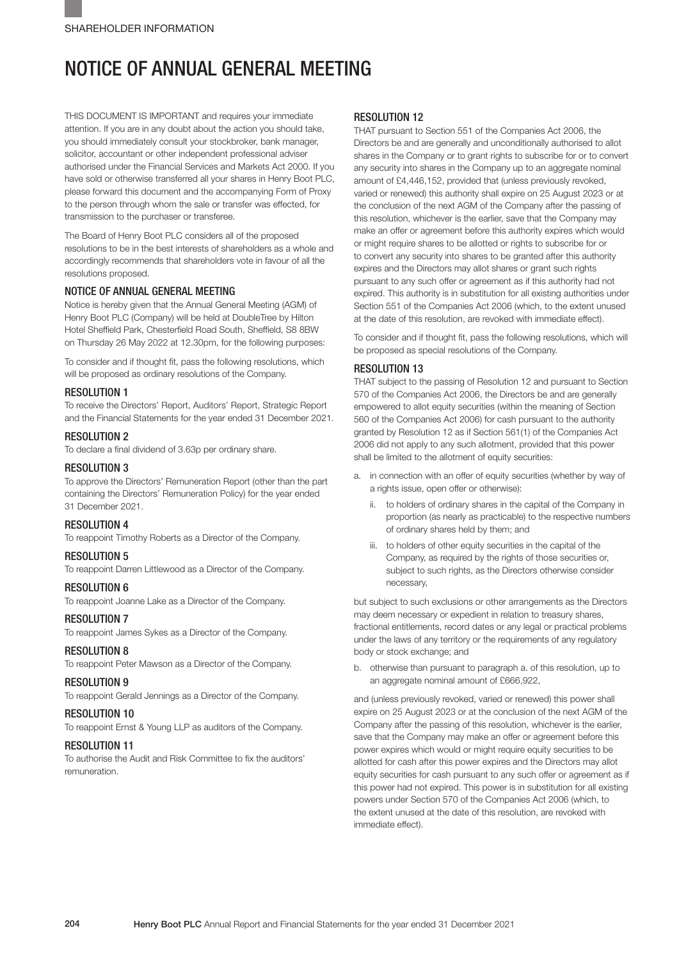## NOTICE OF ANNUAL GENERAL MEETING

THIS DOCUMENT IS IMPORTANT and requires your immediate attention. If you are in any doubt about the action you should take, you should immediately consult your stockbroker, bank manager, solicitor, accountant or other independent professional adviser authorised under the Financial Services and Markets Act 2000. If you have sold or otherwise transferred all your shares in Henry Boot PLC, please forward this document and the accompanying Form of Proxy to the person through whom the sale or transfer was effected, for transmission to the purchaser or transferee.

The Board of Henry Boot PLC considers all of the proposed resolutions to be in the best interests of shareholders as a whole and accordingly recommends that shareholders vote in favour of all the resolutions proposed.

### NOTICE OF ANNUAL GENERAL MEETING

Notice is hereby given that the Annual General Meeting (AGM) of Henry Boot PLC (Company) will be held at DoubleTree by Hilton Hotel Sheffield Park, Chesterfield Road South, Sheffield, S8 8BW on Thursday 26 May 2022 at 12.30pm, for the following purposes:

To consider and if thought fit, pass the following resolutions, which will be proposed as ordinary resolutions of the Company.

### RESOLUTION 1

To receive the Directors' Report, Auditors' Report, Strategic Report and the Financial Statements for the year ended 31 December 2021.

### RESOLUTION 2

To declare a final dividend of 3.63p per ordinary share.

### RESOLUTION 3

To approve the Directors' Remuneration Report (other than the part containing the Directors' Remuneration Policy) for the year ended 31 December 2021.

### RESOLUTION 4

To reappoint Timothy Roberts as a Director of the Company.

### RESOLUTION 5 To reappoint Darren Littlewood as a Director of the Company.

### RESOLUTION 6

To reappoint Joanne Lake as a Director of the Company.

### **RESOLUTION 7**

To reappoint James Sykes as a Director of the Company.

### RESOLUTION 8

To reappoint Peter Mawson as a Director of the Company.

### RESOLUTION 9

To reappoint Gerald Jennings as a Director of the Company.

### RESOLUTION 10

To reappoint Ernst & Young LLP as auditors of the Company.

### RESOLUTION 11

To authorise the Audit and Risk Committee to fix the auditors' remuneration.

#### RESOLUTION 12

THAT pursuant to Section 551 of the Companies Act 2006, the Directors be and are generally and unconditionally authorised to allot shares in the Company or to grant rights to subscribe for or to convert any security into shares in the Company up to an aggregate nominal amount of £4,446,152, provided that (unless previously revoked, varied or renewed) this authority shall expire on 25 August 2023 or at the conclusion of the next AGM of the Company after the passing of this resolution, whichever is the earlier, save that the Company may make an offer or agreement before this authority expires which would or might require shares to be allotted or rights to subscribe for or to convert any security into shares to be granted after this authority expires and the Directors may allot shares or grant such rights pursuant to any such offer or agreement as if this authority had not expired. This authority is in substitution for all existing authorities under Section 551 of the Companies Act 2006 (which, to the extent unused at the date of this resolution, are revoked with immediate effect).

To consider and if thought fit, pass the following resolutions, which will be proposed as special resolutions of the Company.

### RESOLUTION 13

THAT subject to the passing of Resolution 12 and pursuant to Section 570 of the Companies Act 2006, the Directors be and are generally empowered to allot equity securities (within the meaning of Section 560 of the Companies Act 2006) for cash pursuant to the authority granted by Resolution 12 as if Section 561(1) of the Companies Act 2006 did not apply to any such allotment, provided that this power shall be limited to the allotment of equity securities:

- a. in connection with an offer of equity securities (whether by way of a rights issue, open offer or otherwise):
	- ii. to holders of ordinary shares in the capital of the Company in proportion (as nearly as practicable) to the respective numbers of ordinary shares held by them; and
	- iii. to holders of other equity securities in the capital of the Company, as required by the rights of those securities or, subject to such rights, as the Directors otherwise consider necessary,

but subject to such exclusions or other arrangements as the Directors may deem necessary or expedient in relation to treasury shares, fractional entitlements, record dates or any legal or practical problems under the laws of any territory or the requirements of any regulatory body or stock exchange; and

b. otherwise than pursuant to paragraph a. of this resolution, up to an aggregate nominal amount of £666,922,

and (unless previously revoked, varied or renewed) this power shall expire on 25 August 2023 or at the conclusion of the next AGM of the Company after the passing of this resolution, whichever is the earlier, save that the Company may make an offer or agreement before this power expires which would or might require equity securities to be allotted for cash after this power expires and the Directors may allot equity securities for cash pursuant to any such offer or agreement as if this power had not expired. This power is in substitution for all existing powers under Section 570 of the Companies Act 2006 (which, to the extent unused at the date of this resolution, are revoked with immediate effect).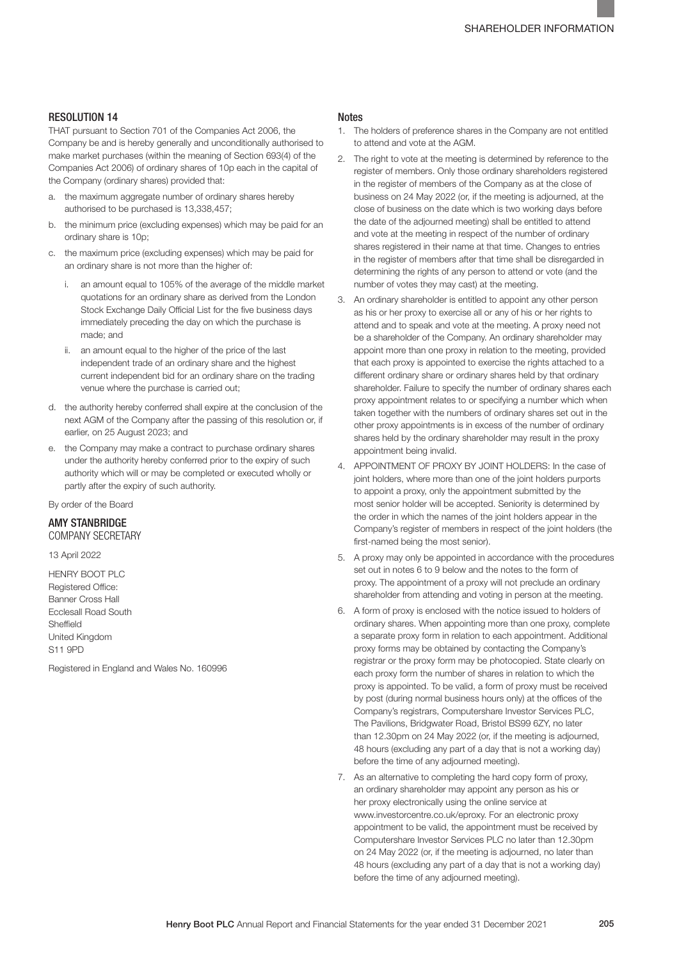### RESOLUTION 14

THAT pursuant to Section 701 of the Companies Act 2006, the Company be and is hereby generally and unconditionally authorised to make market purchases (within the meaning of Section 693(4) of the Companies Act 2006) of ordinary shares of 10p each in the capital of the Company (ordinary shares) provided that:

- a. the maximum aggregate number of ordinary shares hereby authorised to be purchased is 13,338,457;
- b. the minimum price (excluding expenses) which may be paid for an ordinary share is 10p;
- c. the maximum price (excluding expenses) which may be paid for an ordinary share is not more than the higher of:
	- i. an amount equal to 105% of the average of the middle market quotations for an ordinary share as derived from the London Stock Exchange Daily Official List for the five business days immediately preceding the day on which the purchase is made; and
	- ii. an amount equal to the higher of the price of the last independent trade of an ordinary share and the highest current independent bid for an ordinary share on the trading venue where the purchase is carried out;
- d. the authority hereby conferred shall expire at the conclusion of the next AGM of the Company after the passing of this resolution or, if earlier, on 25 August 2023; and
- e. the Company may make a contract to purchase ordinary shares under the authority hereby conferred prior to the expiry of such authority which will or may be completed or executed wholly or partly after the expiry of such authority.

By order of the Board

#### AMY STANBRIDGE COMPANY SECRETARY

13 April 2022

HENRY BOOT PLC Registered Office: Banner Cross Hall Ecclesall Road South Sheffield United Kingdom S11 9PD

Registered in England and Wales No. 160996

### **Notes**

- 1. The holders of preference shares in the Company are not entitled to attend and vote at the AGM.
- 2. The right to vote at the meeting is determined by reference to the register of members. Only those ordinary shareholders registered in the register of members of the Company as at the close of business on 24 May 2022 (or, if the meeting is adjourned, at the close of business on the date which is two working days before the date of the adjourned meeting) shall be entitled to attend and vote at the meeting in respect of the number of ordinary shares registered in their name at that time. Changes to entries in the register of members after that time shall be disregarded in determining the rights of any person to attend or vote (and the number of votes they may cast) at the meeting.
- 3. An ordinary shareholder is entitled to appoint any other person as his or her proxy to exercise all or any of his or her rights to attend and to speak and vote at the meeting. A proxy need not be a shareholder of the Company. An ordinary shareholder may appoint more than one proxy in relation to the meeting, provided that each proxy is appointed to exercise the rights attached to a different ordinary share or ordinary shares held by that ordinary shareholder. Failure to specify the number of ordinary shares each proxy appointment relates to or specifying a number which when taken together with the numbers of ordinary shares set out in the other proxy appointments is in excess of the number of ordinary shares held by the ordinary shareholder may result in the proxy appointment being invalid.
- 4. APPOINTMENT OF PROXY BY JOINT HOLDERS: In the case of joint holders, where more than one of the joint holders purports to appoint a proxy, only the appointment submitted by the most senior holder will be accepted. Seniority is determined by the order in which the names of the joint holders appear in the Company's register of members in respect of the joint holders (the first-named being the most senior).
- 5. A proxy may only be appointed in accordance with the procedures set out in notes 6 to 9 below and the notes to the form of proxy. The appointment of a proxy will not preclude an ordinary shareholder from attending and voting in person at the meeting.
- 6. A form of proxy is enclosed with the notice issued to holders of ordinary shares. When appointing more than one proxy, complete a separate proxy form in relation to each appointment. Additional proxy forms may be obtained by contacting the Company's registrar or the proxy form may be photocopied. State clearly on each proxy form the number of shares in relation to which the proxy is appointed. To be valid, a form of proxy must be received by post (during normal business hours only) at the offices of the Company's registrars, Computershare Investor Services PLC, The Pavilions, Bridgwater Road, Bristol BS99 6ZY, no later than 12.30pm on 24 May 2022 (or, if the meeting is adjourned, 48 hours (excluding any part of a day that is not a working day) before the time of any adjourned meeting).
- 7. As an alternative to completing the hard copy form of proxy, an ordinary shareholder may appoint any person as his or her proxy electronically using the online service at www.investorcentre.co.uk/eproxy. For an electronic proxy appointment to be valid, the appointment must be received by Computershare Investor Services PLC no later than 12.30pm on 24 May 2022 (or, if the meeting is adjourned, no later than 48 hours (excluding any part of a day that is not a working day) before the time of any adjourned meeting).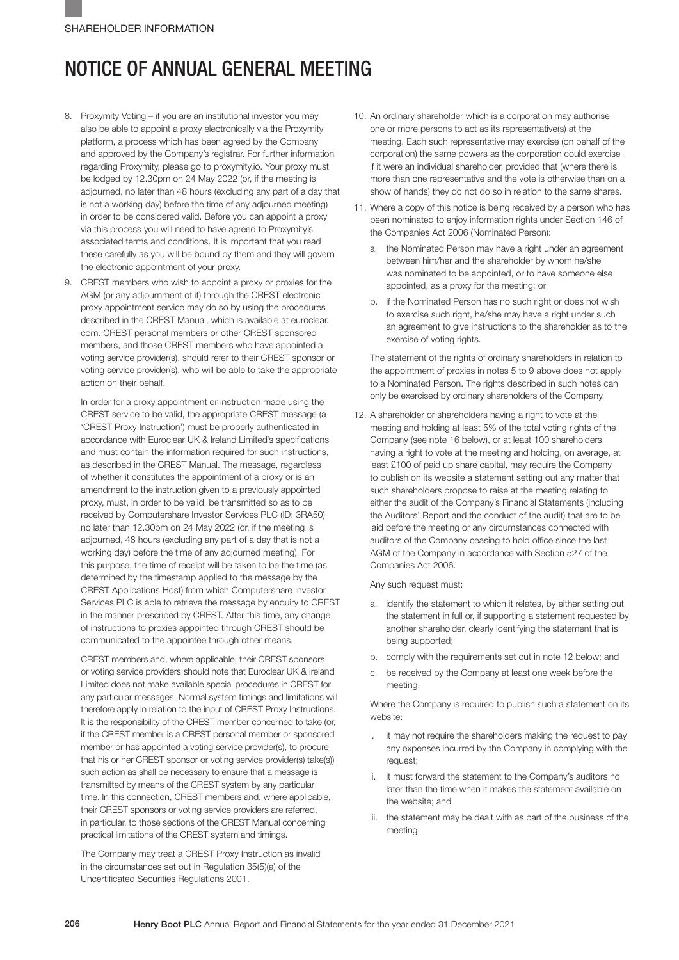## NOTICE OF ANNUAL GENERAL MEETING

- 8. Proxymity Voting if you are an institutional investor you may also be able to appoint a proxy electronically via the Proxymity platform, a process which has been agreed by the Company and approved by the Company's registrar. For further information regarding Proxymity, please go to proxymity.io. Your proxy must be lodged by 12.30pm on 24 May 2022 (or, if the meeting is adjourned, no later than 48 hours (excluding any part of a day that is not a working day) before the time of any adjourned meeting) in order to be considered valid. Before you can appoint a proxy via this process you will need to have agreed to Proxymity's associated terms and conditions. It is important that you read these carefully as you will be bound by them and they will govern the electronic appointment of your proxy.
- 9. CREST members who wish to appoint a proxy or proxies for the AGM (or any adjournment of it) through the CREST electronic proxy appointment service may do so by using the procedures described in the CREST Manual, which is available at euroclear. com. CREST personal members or other CREST sponsored members, and those CREST members who have appointed a voting service provider(s), should refer to their CREST sponsor or voting service provider(s), who will be able to take the appropriate action on their behalf.

In order for a proxy appointment or instruction made using the CREST service to be valid, the appropriate CREST message (a 'CREST Proxy Instruction') must be properly authenticated in accordance with Euroclear UK & Ireland Limited's specifications and must contain the information required for such instructions, as described in the CREST Manual. The message, regardless of whether it constitutes the appointment of a proxy or is an amendment to the instruction given to a previously appointed proxy, must, in order to be valid, be transmitted so as to be received by Computershare Investor Services PLC (ID: 3RA50) no later than 12.30pm on 24 May 2022 (or, if the meeting is adjourned, 48 hours (excluding any part of a day that is not a working day) before the time of any adjourned meeting). For this purpose, the time of receipt will be taken to be the time (as determined by the timestamp applied to the message by the CREST Applications Host) from which Computershare Investor Services PLC is able to retrieve the message by enquiry to CREST in the manner prescribed by CREST. After this time, any change of instructions to proxies appointed through CREST should be communicated to the appointee through other means.

CREST members and, where applicable, their CREST sponsors or voting service providers should note that Euroclear UK & Ireland Limited does not make available special procedures in CREST for any particular messages. Normal system timings and limitations will therefore apply in relation to the input of CREST Proxy Instructions. It is the responsibility of the CREST member concerned to take (or, if the CREST member is a CREST personal member or sponsored member or has appointed a voting service provider(s), to procure that his or her CREST sponsor or voting service provider(s) take(s)) such action as shall be necessary to ensure that a message is transmitted by means of the CREST system by any particular time. In this connection, CREST members and, where applicable, their CREST sponsors or voting service providers are referred, in particular, to those sections of the CREST Manual concerning practical limitations of the CREST system and timings.

The Company may treat a CREST Proxy Instruction as invalid in the circumstances set out in Regulation 35(5)(a) of the Uncertificated Securities Regulations 2001.

- 10. An ordinary shareholder which is a corporation may authorise one or more persons to act as its representative(s) at the meeting. Each such representative may exercise (on behalf of the corporation) the same powers as the corporation could exercise if it were an individual shareholder, provided that (where there is more than one representative and the vote is otherwise than on a show of hands) they do not do so in relation to the same shares.
- 11. Where a copy of this notice is being received by a person who has been nominated to enjoy information rights under Section 146 of the Companies Act 2006 (Nominated Person):
	- a. the Nominated Person may have a right under an agreement between him/her and the shareholder by whom he/she was nominated to be appointed, or to have someone else appointed, as a proxy for the meeting; or
	- b. if the Nominated Person has no such right or does not wish to exercise such right, he/she may have a right under such an agreement to give instructions to the shareholder as to the exercise of voting rights.

The statement of the rights of ordinary shareholders in relation to the appointment of proxies in notes 5 to 9 above does not apply to a Nominated Person. The rights described in such notes can only be exercised by ordinary shareholders of the Company.

12. A shareholder or shareholders having a right to vote at the meeting and holding at least 5% of the total voting rights of the Company (see note 16 below), or at least 100 shareholders having a right to vote at the meeting and holding, on average, at least £100 of paid up share capital, may require the Company to publish on its website a statement setting out any matter that such shareholders propose to raise at the meeting relating to either the audit of the Company's Financial Statements (including the Auditors' Report and the conduct of the audit) that are to be laid before the meeting or any circumstances connected with auditors of the Company ceasing to hold office since the last AGM of the Company in accordance with Section 527 of the Companies Act 2006.

Any such request must:

- a. identify the statement to which it relates, by either setting out the statement in full or, if supporting a statement requested by another shareholder, clearly identifying the statement that is being supported;
- b. comply with the requirements set out in note 12 below; and
- c. be received by the Company at least one week before the meeting.

Where the Company is required to publish such a statement on its website:

- i. it may not require the shareholders making the request to pay any expenses incurred by the Company in complying with the request;
- ii. it must forward the statement to the Company's auditors no later than the time when it makes the statement available on the website; and
- iii. the statement may be dealt with as part of the business of the meeting.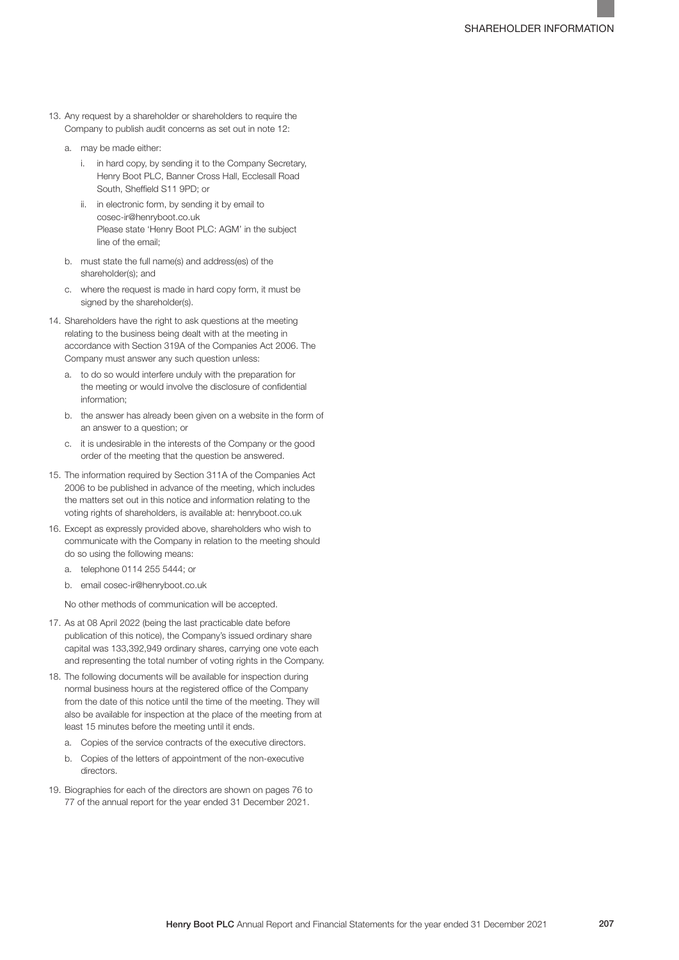- 13. Any request by a shareholder or shareholders to require the Company to publish audit concerns as set out in note 12:
	- a. may be made either:
		- i. in hard copy, by sending it to the Company Secretary, Henry Boot PLC, Banner Cross Hall, Ecclesall Road South, Sheffield S11 9PD; or
		- ii. in electronic form, by sending it by email to cosec-ir@henryboot.co.uk Please state 'Henry Boot PLC: AGM' in the subject line of the email;
	- b. must state the full name(s) and address(es) of the shareholder(s); and
	- c. where the request is made in hard copy form, it must be signed by the shareholder(s).
- 14. Shareholders have the right to ask questions at the meeting relating to the business being dealt with at the meeting in accordance with Section 319A of the Companies Act 2006. The Company must answer any such question unless:
	- a. to do so would interfere unduly with the preparation for the meeting or would involve the disclosure of confidential information;
	- b. the answer has already been given on a website in the form of an answer to a question; or
	- c. it is undesirable in the interests of the Company or the good order of the meeting that the question be answered.
- 15. The information required by Section 311A of the Companies Act 2006 to be published in advance of the meeting, which includes the matters set out in this notice and information relating to the voting rights of shareholders, is available at: henryboot.co.uk
- 16. Except as expressly provided above, shareholders who wish to communicate with the Company in relation to the meeting should do so using the following means:
	- a. telephone 0114 255 5444; or
	- b. email cosec-ir@henryboot.co.uk

No other methods of communication will be accepted.

- 17. As at 08 April 2022 (being the last practicable date before publication of this notice), the Company's issued ordinary share capital was 133,392,949 ordinary shares, carrying one vote each and representing the total number of voting rights in the Company.
- 18. The following documents will be available for inspection during normal business hours at the registered office of the Company from the date of this notice until the time of the meeting. They will also be available for inspection at the place of the meeting from at least 15 minutes before the meeting until it ends.
	- a. Copies of the service contracts of the executive directors.
	- b. Copies of the letters of appointment of the non-executive directors.
- 19. Biographies for each of the directors are shown on pages 76 to 77 of the annual report for the year ended 31 December 2021.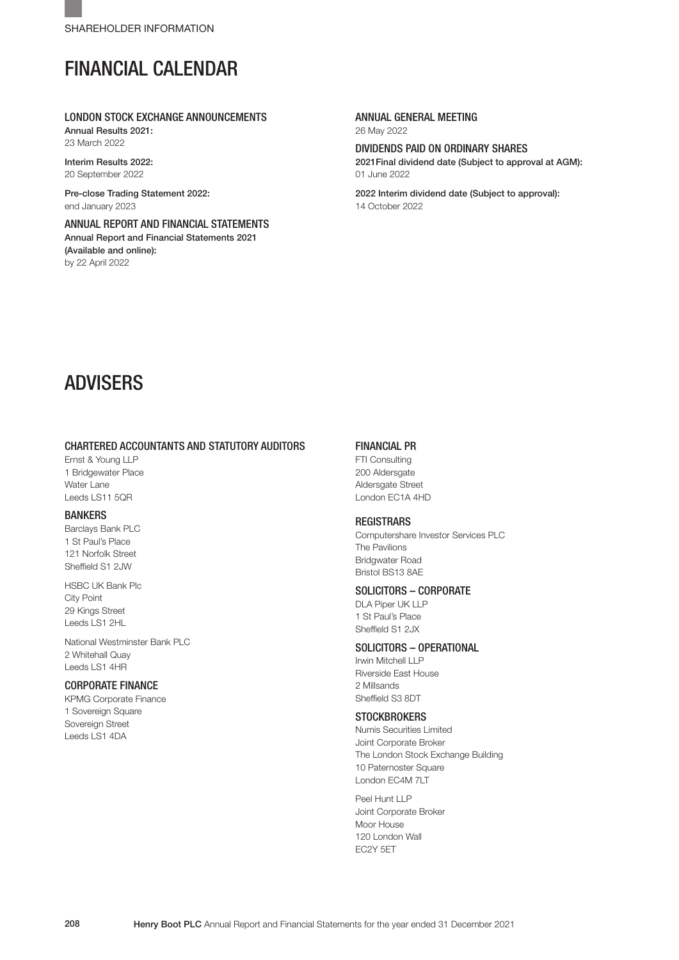## FINANCIAL CALENDAR

### LONDON STOCK EXCHANGE ANNOUNCEMENTS

Annual Results 2021: 23 March 2022

Interim Results 2022 20 September 2022

Pre-close Trading Statement 2022: end January 2023

ANNUAL REPORT AND FINANCIAL STATEMENTS Annual Report and Financial Statements 2021 (Available and online): by 22 April 2022

### ANNUAL GENERAL MEETING

26 May 2022

### DIVIDENDS PAID ON ORDINARY SHARES

2021Final dividend date (Subject to approval at AGM): 01 June 2022

2022 Interim dividend date (Subject to approval): 14 October 2022

## ADVISERS

### CHARTERED ACCOUNTANTS AND STATUTORY AUDITORS

Ernst & Young LLP 1 Bridgewater Place Water Lane Leeds LS11 5QR

### BANKERS

Barclays Bank PLC 1 St Paul's Place 121 Norfolk Street Sheffield S1 2JW

HSBC UK Bank Plc City Point 29 Kings Street Leeds LS1 2HL

National Westminster Bank PLC 2 Whitehall Quay Leeds LS1 4HR

### CORPORATE FINANCE

KPMG Corporate Finance 1 Sovereign Square Sovereign Street Leeds LS1 4DA

### FINANCIAL PR

FTI Consulting 200 Aldersgate Aldersgate Street London EC1A 4HD

### **REGISTRARS**

Computershare Investor Services PLC The Pavilions Bridgwater Road Bristol BS13 8AE

### SOLICITORS – CORPORATE

DLA Piper UK LLP 1 St Paul's Place Sheffield S1 2JX

### SOLICITORS – OPERATIONAL

Irwin Mitchell LLP Riverside East House 2 Millsands Sheffield S3 8DT

### **STOCKBROKERS**

Numis Securities Limited Joint Corporate Broker The London Stock Exchange Building 10 Paternoster Square London EC4M 7LT

Peel Hunt LLP Joint Corporate Broker Moor House 120 London Wall EC2Y 5ET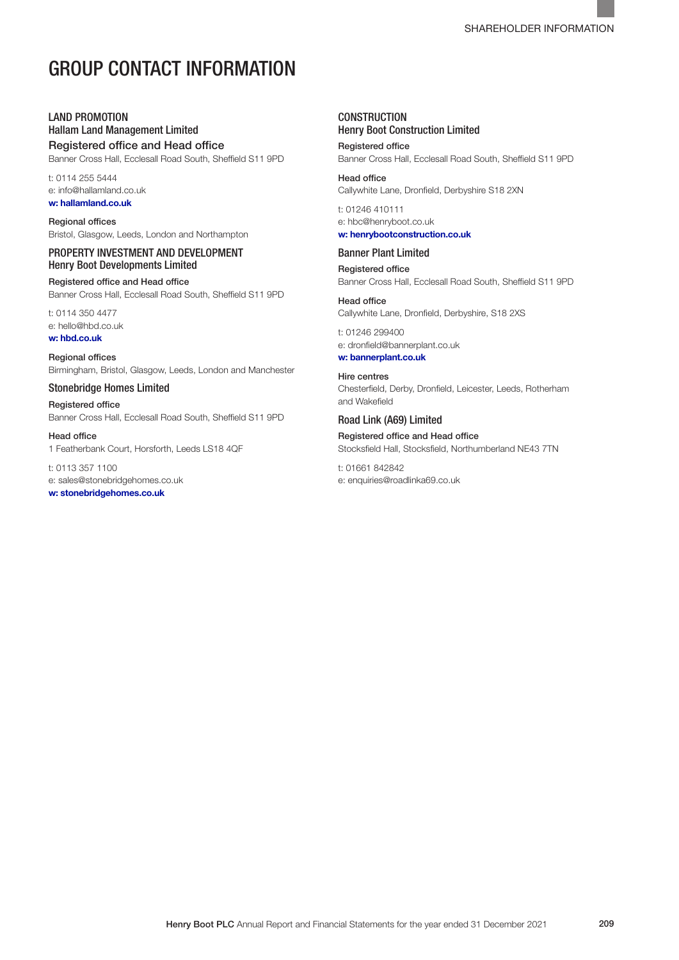## GROUP CONTACT INFORMATION

### LAND PROMOTION

Hallam Land Management Limited Registered office and Head office

Banner Cross Hall, Ecclesall Road South, Sheffield S11 9PD

t: 0114 255 5444 e: info@hallamland.co.uk w: hallamland.co.uk

Regional offices Bristol, Glasgow, Leeds, London and Northampton

### PROPERTY INVESTMENT AND DEVELOPMENT Henry Boot Developments Limited

Registered office and Head office Banner Cross Hall, Ecclesall Road South, Sheffield S11 9PD

t: 0114 350 4477

e: hello@hbd.co.uk w: hbd.co.uk

Regional offices Birmingham, Bristol, Glasgow, Leeds, London and Manchester

Stonebridge Homes Limited

Registered office Banner Cross Hall, Ecclesall Road South, Sheffield S11 9PD

Head office

1 Featherbank Court, Horsforth, Leeds LS18 4QF

t: 0113 357 1100 e: sales@stonebridgehomes.co.uk

w: stonebridgehomes.co.uk

### **CONSTRUCTION** Henry Boot Construction Limited

Registered office Banner Cross Hall, Ecclesall Road South, Sheffield S11 9PD

### Head office

Callywhite Lane, Dronfield, Derbyshire S18 2XN t: 01246 410111

e: hbc@henryboot.co.uk w: henrybootconstruction.co.uk

### Banner Plant Limited

Registered office Banner Cross Hall, Ecclesall Road South, Sheffield S11 9PD

Head office Callywhite Lane, Dronfield, Derbyshire, S18 2XS

t: 01246 299400 e: dronfield@bannerplant.co.uk

w: bannerplant.co.uk

Hire centres Chesterfield, Derby, Dronfield, Leicester, Leeds, Rotherham and Wakefield

Road Link (A69) Limited Registered office and Head office Stocksfield Hall, Stocksfield, Northumberland NE43 7TN

t: 01661 842842 e: enquiries@roadlinka69.co.uk